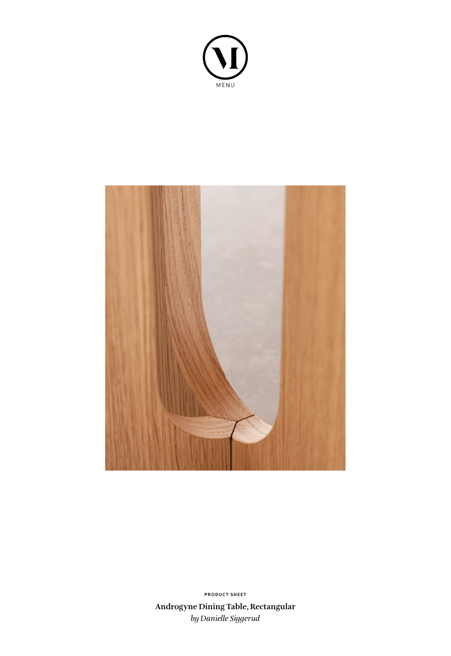



**Androgyne Dining Table, Rectangular** *by Danielle Siggerud* **PRODUCT SHEET**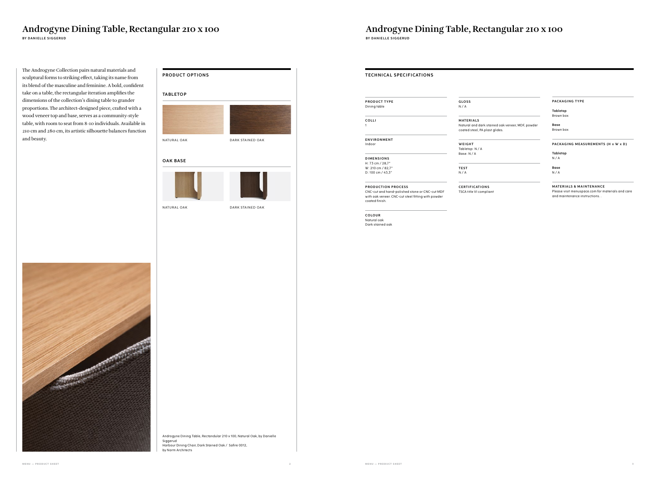**BY DANIELLE SIGGERUD BY DANIELLE SIGGERUD**

## **PRODUCT OPTIONS**

## **PRODUCT TYPE** Dining table **G LO S S**  N / A **TECHNICAL SPECIFICATIONS**

# Androgyne Dining Table, Rectangular 210 x 100<br>
BY DANIELLE SIGGERUD BY DANIELLE SIGGERUD

The Androgyne Collection pairs natural materials and sculptural forms to striking effect, taking its name from its blend of the masculine and feminine. A bold, confident take on a table, the rectangular iteration amplifies the dimensions of the collection's dining table to grander proportions. The architect-designed piece, crafted with a wood veneer top and base, serves as a community-style table, with room to seat from 8-10 individuals. Available in 210 cm and 280 cm, its artistic silhouette balances function and beauty.

> **Tabletop**  $N/A$

### **OAK BASE**

NATURAL OAK





DARK STAINED OAK

### **TA B L ETO P**



**COLLI** 1

**ENVIRONMENT** Indoor

**D I M E N S I O N S**  H: 73 cm / 28,7" W: 210 cm / 82,7" D: 100 cm / 43,3"

**PRODUCTION PROCESS** CNC-cut and hand-polished stone or CNC-cut MDF with oak veneer. CNC-cut steel fitting with powder

coated finish.



**COLOUR** Natural oak Dark stained oak

**M AT E R I A LS** Natural and dark stained oak veneer, MDF, powder coated steel, PA plast glides.

**WEIGHT** Tabletop: N / A Base: N / A

**TEST** N / A

**C E RT I F I CAT I O N S** TSCA title VI compliant **PACKAGING TYPE**

**Tabletop** Brown box

**Base** Brown box

**PACKAGING MEASUREMENTS (H x W x D)**

**Base**

 $N / A$ 

**MATERIALS & MAINTENANCE** 

Please visit menuspace.com for materials and care and maintenance instructions. .

Androgyne Dining Table, Rectandular 210 x 100, Natural Oak, by Danielle Siggerud Harbour Dining Chair, Dark Stained Oak / Safire 0012, by Norm Architects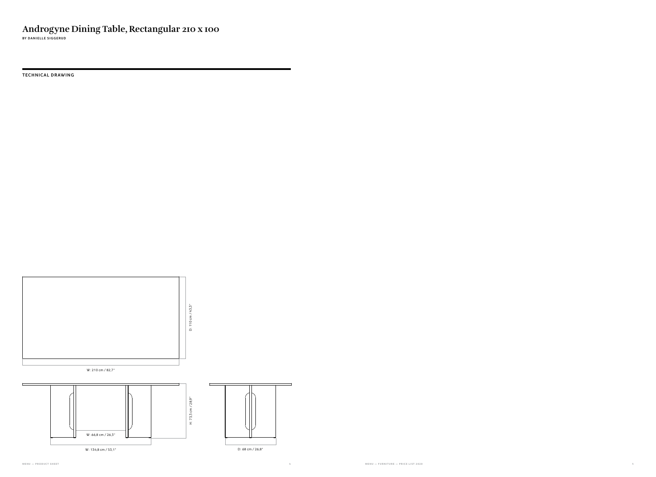**TECHNICAL DRAWING**



**BY DANIELLE SIGGERUD**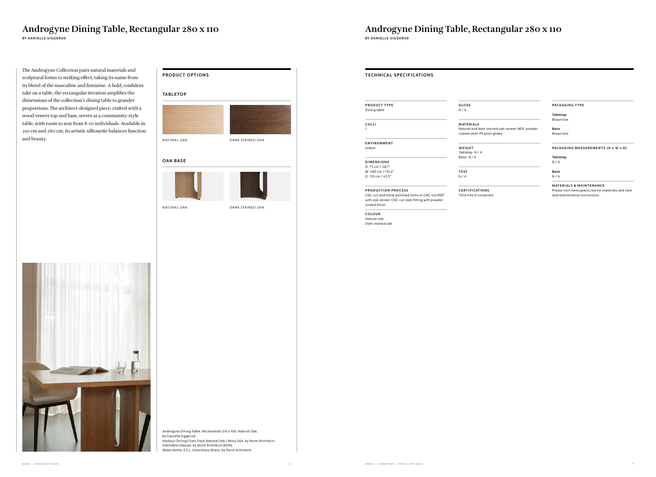ral and dark stained oak veneer, MDF, powder d steel, PA plast glides.

**BY DANIELLE SIGGERUD BY DANIELLE SIGGERUD**



**WEIGHT** top: N / A  $N / A$ 

**COLOUR** Natural oak Dark stained oak



| <b>TECHNICAL SPECIFICATIONS</b>                                                                                        |                                                       |
|------------------------------------------------------------------------------------------------------------------------|-------------------------------------------------------|
| <b>PRODUCT TYPE</b><br>Dining table                                                                                    | <b>GLOSS</b><br>N/A                                   |
| COLLI<br>1                                                                                                             | <b>MATERIALS</b><br>Natural and do<br>coated steel, P |
| <b>ENVIRONMENT</b><br>Indoor                                                                                           | WEIGHT<br>Tabletop: N / /<br>Base: N / A              |
| <b>DIMENSIONS</b><br>H: 73 cm / 28,7"                                                                                  |                                                       |
| W: 280 cm / 110,2"                                                                                                     | <b>TEST</b>                                           |
| D: 110 cm / 43,3"                                                                                                      | N/A                                                   |
| <b>PRODUCTION PROCESS</b>                                                                                              | <b>CERTIFICATI</b>                                    |
| CNC-cut and hand-polished stone or CNC-cut MDF<br>with oak veneer. CNC-cut steel fitting with powder<br>coated finish. | <b>TSCA title VI co</b>                               |

**PACKAGING TYPE**

**Tabletop** Brown box

**Base** Brown box

### **PACKAGING MEASUREMENTS (H x W x D)**

**Tabletop** N / A

**Base** N / A

### **MATERIALS & MAINTENANCE**

Please visit menuspace.com for materials and care and maintenance instructions. .

**CONTIGATIONS** title VI compliant

# Androgyne Dining Table, Rectangular 280 x 110<br>
BY DANIELLE SIGGERUD<br>
BY DANIELLE SIGGERUD

The Androgyne Collection pairs natural materials and sculptural forms to striking effect, taking its name from its blend of the masculine and feminine. A bold, confident take on a table, the rectangular iteration amplifies the dimensions of the collection's dining table to grander proportions. The architect-designed piece, crafted with a wood veneer top and base, serves as a community-style table, with room to seat from 8-10 individuals. Available in 210 cm and 280 cm, its artistic silhouette balances function and beauty.

### **OAK BASE**

NATURAL OAK





DARK STAINED OAK



### **TA B L ETO P**



Androgyne Dining Table, Rectandular 210 x 100, Natural Oak, by Danielle Siggerud Harbour Dining Chair, Dark Stained Oak / Moss 004, by Norm Architects Stackable Glasses, by Norm Architects Bottle Water Bottle, 0,5 L, ClearGlass/Brass, by Norm Architects